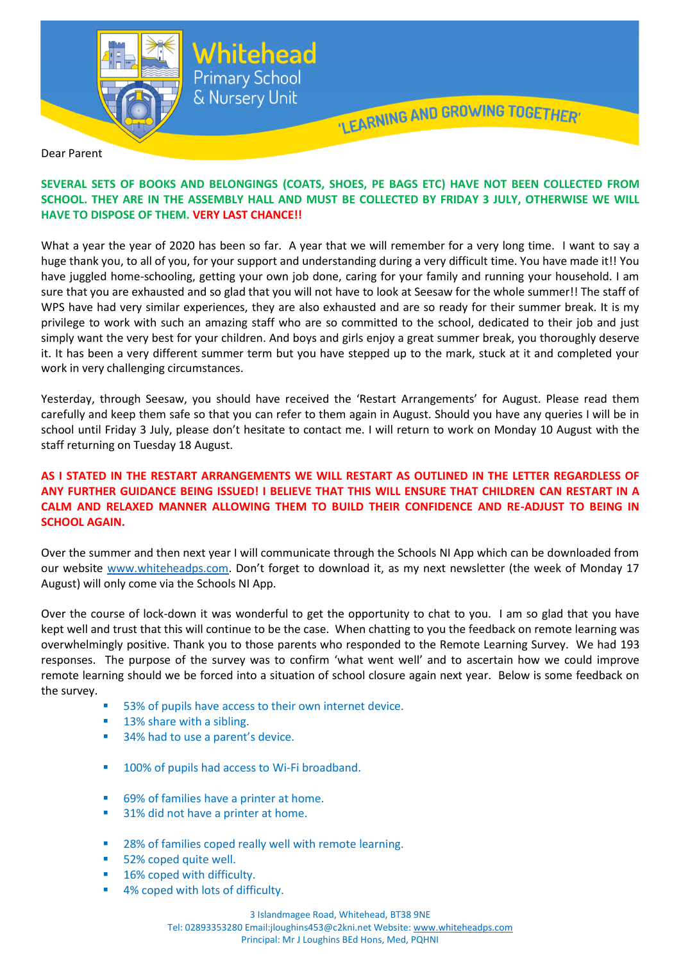

Dear Parent

## **SEVERAL SETS OF BOOKS AND BELONGINGS (COATS, SHOES, PE BAGS ETC) HAVE NOT BEEN COLLECTED FROM SCHOOL. THEY ARE IN THE ASSEMBLY HALL AND MUST BE COLLECTED BY FRIDAY 3 JULY, OTHERWISE WE WILL HAVE TO DISPOSE OF THEM. VERY LAST CHANCE!!**

What a year the year of 2020 has been so far. A year that we will remember for a very long time. I want to say a huge thank you, to all of you, for your support and understanding during a very difficult time. You have made it!! You have juggled home-schooling, getting your own job done, caring for your family and running your household. I am sure that you are exhausted and so glad that you will not have to look at Seesaw for the whole summer!! The staff of WPS have had very similar experiences, they are also exhausted and are so ready for their summer break. It is my privilege to work with such an amazing staff who are so committed to the school, dedicated to their job and just simply want the very best for your children. And boys and girls enjoy a great summer break, you thoroughly deserve it. It has been a very different summer term but you have stepped up to the mark, stuck at it and completed your work in very challenging circumstances.

Yesterday, through Seesaw, you should have received the 'Restart Arrangements' for August. Please read them carefully and keep them safe so that you can refer to them again in August. Should you have any queries I will be in school until Friday 3 July, please don't hesitate to contact me. I will return to work on Monday 10 August with the staff returning on Tuesday 18 August.

## **AS I STATED IN THE RESTART ARRANGEMENTS WE WILL RESTART AS OUTLINED IN THE LETTER REGARDLESS OF ANY FURTHER GUIDANCE BEING ISSUED! I BELIEVE THAT THIS WILL ENSURE THAT CHILDREN CAN RESTART IN A CALM AND RELAXED MANNER ALLOWING THEM TO BUILD THEIR CONFIDENCE AND RE-ADJUST TO BEING IN SCHOOL AGAIN.**

Over the summer and then next year I will communicate through the Schools NI App which can be downloaded from our website [www.whiteheadps.com](http://www.whiteheadps.com/). Don't forget to download it, as my next newsletter (the week of Monday 17 August) will only come via the Schools NI App.

Over the course of lock-down it was wonderful to get the opportunity to chat to you. I am so glad that you have kept well and trust that this will continue to be the case. When chatting to you the feedback on remote learning was overwhelmingly positive. Thank you to those parents who responded to the Remote Learning Survey. We had 193 responses. The purpose of the survey was to confirm 'what went well' and to ascertain how we could improve remote learning should we be forced into a situation of school closure again next year. Below is some feedback on the survey.

- 53% of pupils have access to their own internet device.
- 13% share with a sibling.
- 34% had to use a parent's device.
- **100% of pupils had access to Wi-Fi broadband.**
- 69% of families have a printer at home.
- 31% did not have a printer at home.
- 28% of families coped really well with remote learning.
- 52% coped quite well.
- 16% coped with difficulty.
- 4% coped with lots of difficulty.

3 Islandmagee Road, Whitehead, BT38 9NE

Tel: 02893353280 Email:jloughins453@c2kni.net Website: [www.whiteheadps.com](http://www.whiteheadps.com/) Principal: Mr J Loughins BEd Hons, Med, PQHNI